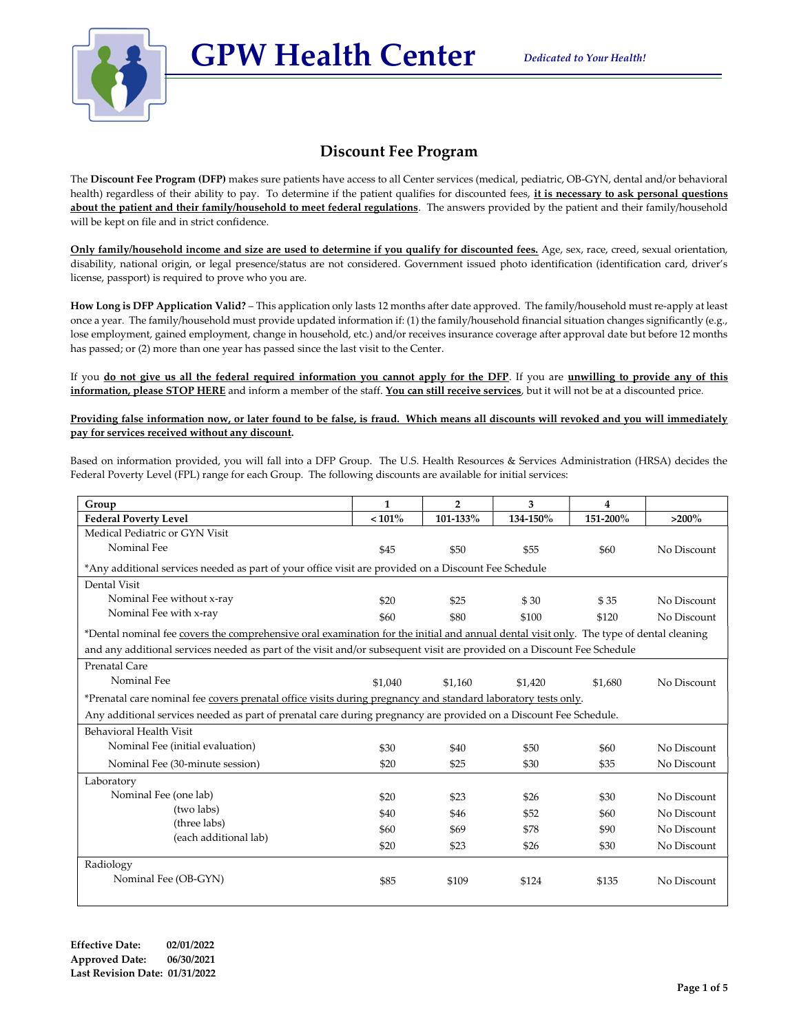

### Discount Fee Program

GPW Health Center

The Discount Fee Program (DFP) makes sure patients have access to all Center services (medical, pediatric, OB-GYN, dental and/or behavioral health) regardless of their ability to pay. To determine if the patient qualifies for discounted fees, it is necessary to ask personal questions about the patient and their family/household to meet federal regulations. The answers provided by the patient and their family/household will be kept on file and in strict confidence.

Only family/household income and size are used to determine if you qualify for discounted fees. Age, sex, race, creed, sexual orientation, disability, national origin, or legal presence/status are not considered. Government issued photo identification (identification card, driver's license, passport) is required to prove who you are.

How Long is DFP Application Valid? – This application only lasts 12 months after date approved. The family/household must re-apply at least once a year. The family/household must provide updated information if: (1) the family/household financial situation changes significantly (e.g., lose employment, gained employment, change in household, etc.) and/or receives insurance coverage after approval date but before 12 months has passed; or (2) more than one year has passed since the last visit to the Center.

If you do not give us all the federal required information you cannot apply for the DFP. If you are unwilling to provide any of this information, please STOP HERE and inform a member of the staff. You can still receive services, but it will not be at a discounted price.

#### Providing false information now, or later found to be false, is fraud. Which means all discounts will revoked and you will immediately pay for services received without any discount.

Based on information provided, you will fall into a DFP Group. The U.S. Health Resources & Services Administration (HRSA) decides the Federal Poverty Level (FPL) range for each Group. The following discounts are available for initial services:

| Group                                                                                                                                   | $\mathbf{1}$                                                                                         | $\overline{2}$ | 3        | 4        |             |
|-----------------------------------------------------------------------------------------------------------------------------------------|------------------------------------------------------------------------------------------------------|----------------|----------|----------|-------------|
| <b>Federal Poverty Level</b>                                                                                                            | $< 101\%$                                                                                            | 101-133%       | 134-150% | 151-200% | $>200\%$    |
| Medical Pediatric or GYN Visit                                                                                                          |                                                                                                      |                |          |          |             |
| Nominal Fee                                                                                                                             | \$45                                                                                                 | \$50           | \$55     | \$60     | No Discount |
|                                                                                                                                         | *Any additional services needed as part of your office visit are provided on a Discount Fee Schedule |                |          |          |             |
| Dental Visit                                                                                                                            |                                                                                                      |                |          |          |             |
| Nominal Fee without x-ray                                                                                                               | \$20                                                                                                 | \$25           | \$30     | \$35     | No Discount |
| Nominal Fee with x-ray                                                                                                                  | \$60                                                                                                 | \$80           | \$100    | \$120    | No Discount |
| *Dental nominal fee covers the comprehensive oral examination for the initial and annual dental visit only. The type of dental cleaning |                                                                                                      |                |          |          |             |
| and any additional services needed as part of the visit and/or subsequent visit are provided on a Discount Fee Schedule                 |                                                                                                      |                |          |          |             |
| <b>Prenatal Care</b>                                                                                                                    |                                                                                                      |                |          |          |             |
| Nominal Fee                                                                                                                             | \$1.040                                                                                              | \$1.160        | \$1,420  | \$1.680  | No Discount |
| *Prenatal care nominal fee covers prenatal office visits during pregnancy and standard laboratory tests only.                           |                                                                                                      |                |          |          |             |
| Any additional services needed as part of prenatal care during pregnancy are provided on a Discount Fee Schedule.                       |                                                                                                      |                |          |          |             |
| Behavioral Health Visit                                                                                                                 |                                                                                                      |                |          |          |             |
| Nominal Fee (initial evaluation)                                                                                                        | \$30                                                                                                 | \$40           | \$50     | \$60     | No Discount |
| Nominal Fee (30-minute session)                                                                                                         | \$20                                                                                                 | \$25           | \$30     | \$35     | No Discount |
| Laboratory                                                                                                                              |                                                                                                      |                |          |          |             |
| Nominal Fee (one lab)                                                                                                                   | \$20                                                                                                 | \$23           | \$26     | \$30     | No Discount |
| (two labs)                                                                                                                              | \$40                                                                                                 | \$46           | \$52     | \$60     | No Discount |
| (three labs)                                                                                                                            | \$60                                                                                                 | \$69           | \$78     | \$90     | No Discount |
| (each additional lab)                                                                                                                   | \$20                                                                                                 | \$23           | \$26     | \$30     | No Discount |
| Radiology                                                                                                                               |                                                                                                      |                |          |          |             |
| Nominal Fee (OB-GYN)                                                                                                                    | \$85                                                                                                 | \$109          | \$124    | \$135    | No Discount |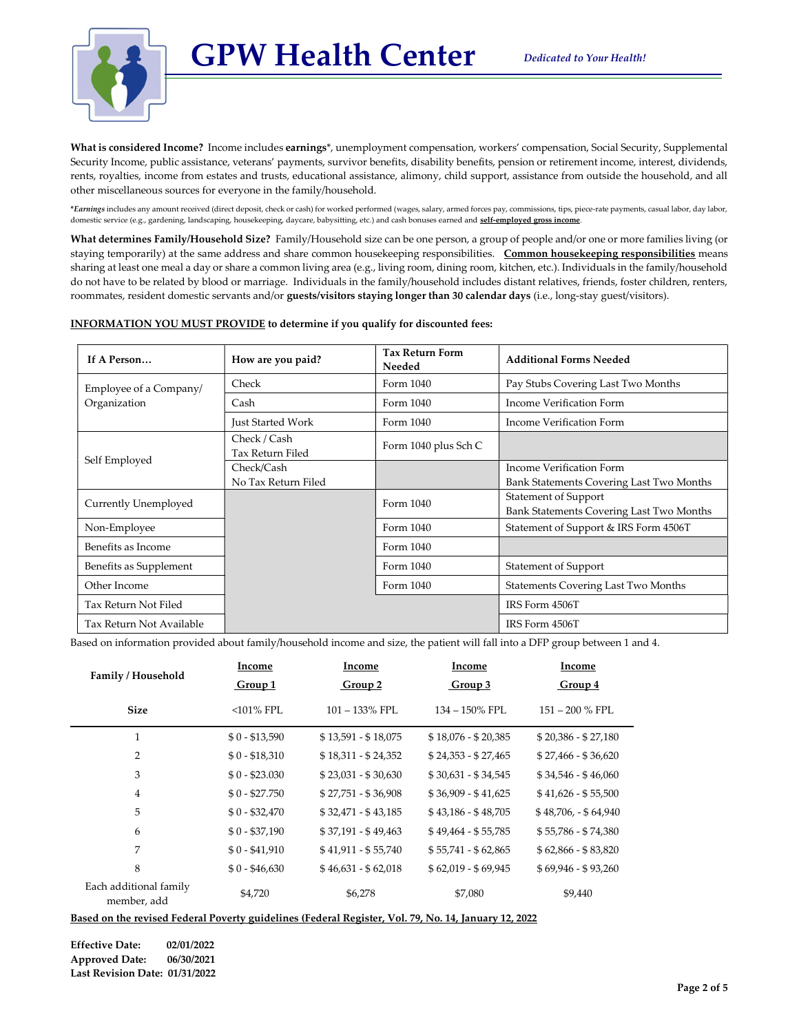

What is considered Income? Income includes earnings\*, unemployment compensation, workers' compensation, Social Security, Supplemental Security Income, public assistance, veterans' payments, survivor benefits, disability benefits, pension or retirement income, interest, dividends, rents, royalties, income from estates and trusts, educational assistance, alimony, child support, assistance from outside the household, and all other miscellaneous sources for everyone in the family/household.

GPW Health Center

\*Earnings includes any amount received (direct deposit, check or cash) for worked performed (wages, salary, armed forces pay, commissions, tips, piece-rate payments, casual labor, day labor, domestic service (e.g., gardening, landscaping, housekeeping, daycare, babysitting, etc.) and cash bonuses earned and self-employed gross in

What determines Family/Household Size? Family/Household size can be one person, a group of people and/or one or more families living (or staying temporarily) at the same address and share common housekeeping responsibilities. Common housekeeping responsibilities means sharing at least one meal a day or share a common living area (e.g., living room, dining room, kitchen, etc.). Individuals in the family/household do not have to be related by blood or marriage. Individuals in the family/household includes distant relatives, friends, foster children, renters, roommates, resident domestic servants and/or guests/visitors staying longer than 30 calendar days (i.e., long-stay guest/visitors).

### INFORMATION YOU MUST PROVIDE to determine if you qualify for discounted fees:

| If A Person              | How are you paid?                 | <b>Tax Return Form</b><br>Needed | <b>Additional Forms Needed</b>                                       |  |
|--------------------------|-----------------------------------|----------------------------------|----------------------------------------------------------------------|--|
| Employee of a Company/   | Check                             | Form 1040                        | Pay Stubs Covering Last Two Months                                   |  |
| Organization             | Cash                              | Form 1040                        | Income Verification Form                                             |  |
|                          | Just Started Work                 | Form 1040                        | Income Verification Form                                             |  |
| Self Employed            | Check / Cash<br>Tax Return Filed  | Form 1040 plus Sch C             |                                                                      |  |
|                          | Check/Cash<br>No Tax Return Filed |                                  | Income Verification Form<br>Bank Statements Covering Last Two Months |  |
| Currently Unemployed     |                                   | Form 1040                        | Statement of Support<br>Bank Statements Covering Last Two Months     |  |
| Non-Employee             |                                   | Form 1040                        | Statement of Support & IRS Form 4506T                                |  |
| Benefits as Income       |                                   | Form 1040                        |                                                                      |  |
| Benefits as Supplement   |                                   | Form 1040                        | <b>Statement of Support</b>                                          |  |
| Other Income             |                                   | Form 1040                        | <b>Statements Covering Last Two Months</b>                           |  |
| Tax Return Not Filed     |                                   |                                  | IRS Form 4506T                                                       |  |
| Tax Return Not Available |                                   |                                  | IRS Form 4506T                                                       |  |

Based on information provided about family/household income and size, the patient will fall into a DFP group between 1 and 4.

| Family / Household                    | Income         | Income              | Income              | Income               |
|---------------------------------------|----------------|---------------------|---------------------|----------------------|
|                                       | Group 1        | Group 2             | Group 3             | Group 4              |
| <b>Size</b>                           | $<$ 101% FPL   | $101 - 133\%$ FPL   | 134 - 150% FPL      | $151 - 200$ % FPL    |
| $\mathbf{1}$                          | $$0 - $13,590$ | $$13,591 - $18,075$ | $$18,076 - $20,385$ | $$20,386 - $27,180$  |
| $\overline{2}$                        | $$0 - $18,310$ | $$18,311 - $24,352$ | $$24,353 - $27,465$ | $$27,466 - $36,620$  |
| 3                                     | $$0 - $23.030$ | $$23,031 - $30,630$ | $$30,631 - $34,545$ | $$34,546 - $46,060$  |
| $\overline{4}$                        | $$0 - $27.750$ | $$27,751 - $36,908$ | $$36,909 - $41,625$ | $$41,626 - $55,500$  |
| 5                                     | $$0 - $32,470$ | $$32,471 - $43,185$ | $$43,186 - $48,705$ | $$48,706, - $64,940$ |
| 6                                     | $$0 - $37,190$ | $$37,191 - $49,463$ | $$49,464 - $55,785$ | $$55,786 - $74,380$  |
| 7                                     | $$0 - $41,910$ | $$41,911 - $55,740$ | $$55,741 - $62,865$ | $$62,866 - $83,820$  |
| 8                                     | $$0 - $46,630$ | $$46,631 - $62,018$ | $$62,019 - $69,945$ | $$69,946 - $93,260$  |
| Each additional family<br>member, add | \$4,720        | \$6,278             | \$7,080             | \$9,440              |

Based on the revised Federal Poverty guidelines (Federal Register, Vol. 79, No. 14, January 12, 2022

Effective Date: 02/01/2022 Approved Date: 06/30/2021 Last Revision Date: 01/31/2022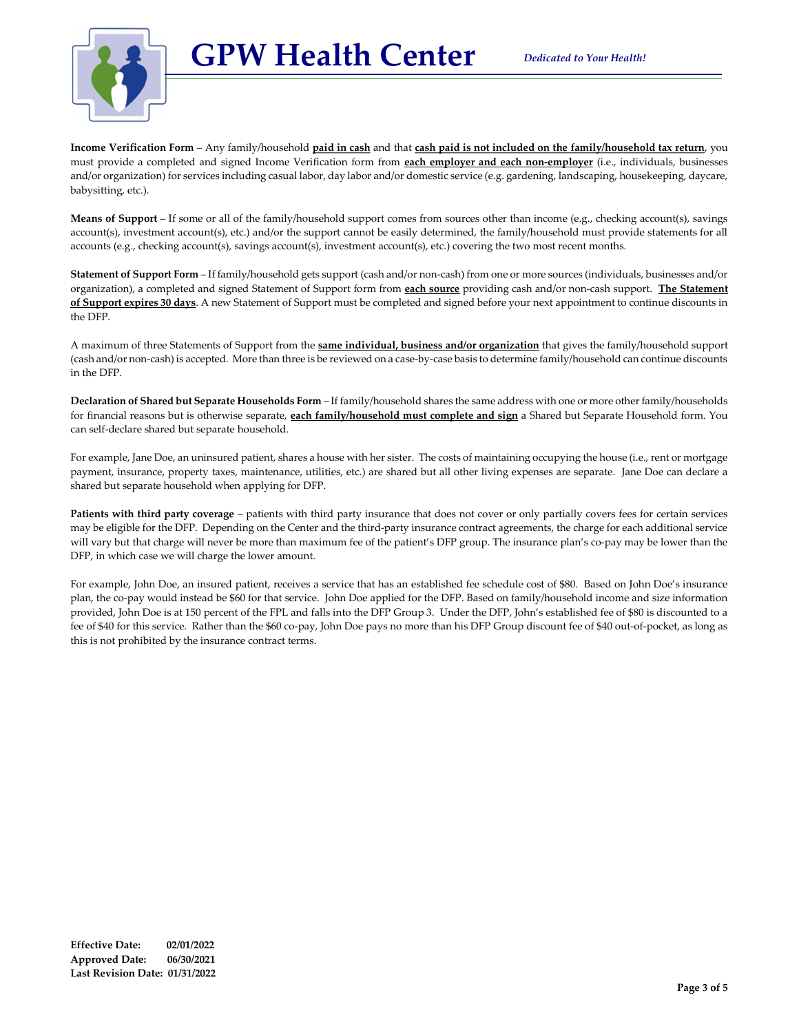GPW Health Center



Income Verification Form – Any family/household paid in cash and that cash paid is not included on the family/household tax return, you must provide a completed and signed Income Verification form from each employer and each non-employer (i.e., individuals, businesses and/or organization) for services including casual labor, day labor and/or domestic service (e.g. gardening, landscaping, housekeeping, daycare, babysitting, etc.).

Means of Support – If some or all of the family/household support comes from sources other than income (e.g., checking account(s), savings account(s), investment account(s), etc.) and/or the support cannot be easily determined, the family/household must provide statements for all accounts (e.g., checking account(s), savings account(s), investment account(s), etc.) covering the two most recent months.

Statement of Support Form – If family/household gets support (cash and/or non-cash) from one or more sources (individuals, businesses and/or organization), a completed and signed Statement of Support form from each source providing cash and/or non-cash support. The Statement of Support expires 30 days. A new Statement of Support must be completed and signed before your next appointment to continue discounts in the DFP.

A maximum of three Statements of Support from the **same individual, business and/or organization** that gives the family/household support (cash and/or non-cash) is accepted. More than three is be reviewed on a case-by-case basis to determine family/household can continue discounts in the DFP.

Declaration of Shared but Separate Households Form - If family/household shares the same address with one or more other family/households for financial reasons but is otherwise separate, each family/household must complete and sign a Shared but Separate Household form. You can self-declare shared but separate household.

For example, Jane Doe, an uninsured patient, shares a house with her sister. The costs of maintaining occupying the house (i.e., rent or mortgage payment, insurance, property taxes, maintenance, utilities, etc.) are shared but all other living expenses are separate. Jane Doe can declare a shared but separate household when applying for DFP.

Patients with third party coverage – patients with third party insurance that does not cover or only partially covers fees for certain services may be eligible for the DFP. Depending on the Center and the third-party insurance contract agreements, the charge for each additional service will vary but that charge will never be more than maximum fee of the patient's DFP group. The insurance plan's co-pay may be lower than the DFP, in which case we will charge the lower amount.

For example, John Doe, an insured patient, receives a service that has an established fee schedule cost of \$80. Based on John Doe's insurance plan, the co-pay would instead be \$60 for that service. John Doe applied for the DFP. Based on family/household income and size information provided, John Doe is at 150 percent of the FPL and falls into the DFP Group 3. Under the DFP, John's established fee of \$80 is discounted to a fee of \$40 for this service. Rather than the \$60 co-pay, John Doe pays no more than his DFP Group discount fee of \$40 out-of-pocket, as long as this is not prohibited by the insurance contract terms.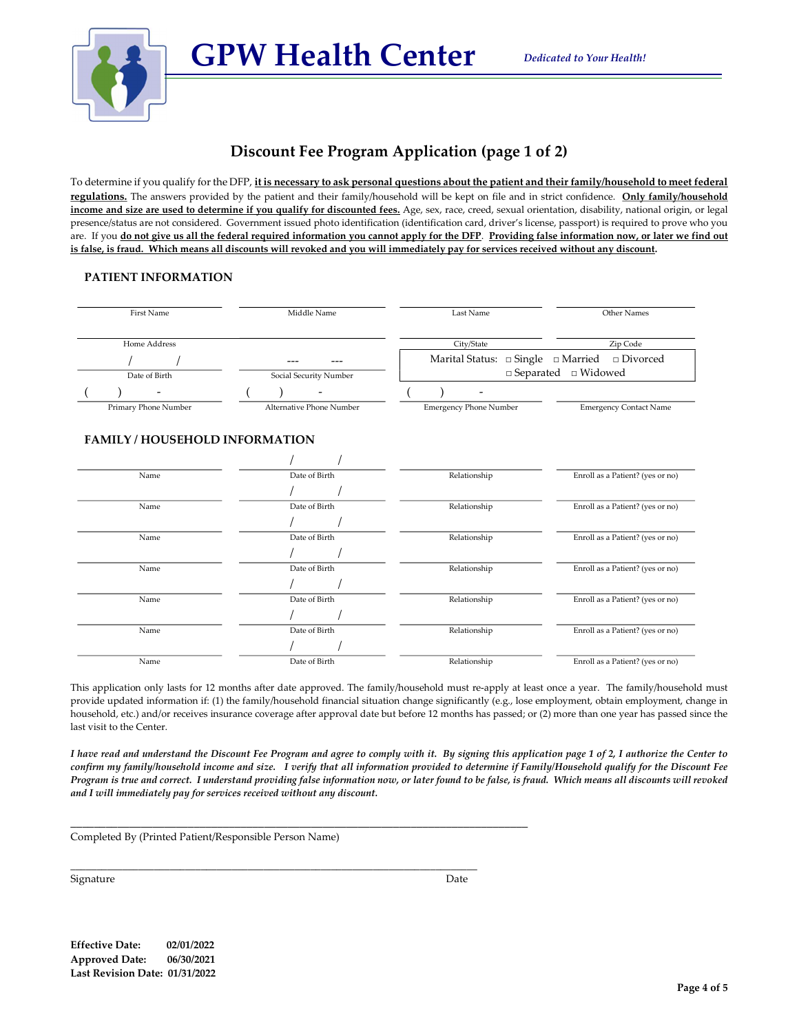

# Discount Fee Program Application (page 1 of 2)

To determine if you qualify for the DFP, it is necessary to ask personal questions about the patient and their family/household to meet federal regulations. The answers provided by the patient and their family/household will be kept on file and in strict confidence. Only family/household income and size are used to determine if you qualify for discounted fees. Age, sex, race, creed, sexual orientation, disability, national origin, or legal presence/status are not considered. Government issued photo identification (identification card, driver's license, passport) is required to prove who you are. If you do not give us all the federal required information you cannot apply for the DFP. Providing false information now, or later we find out is false, is fraud. Which means all discounts will revoked and you will immediately pay for services received without any discount.

### PATIENT INFORMATION

| First Name                          | Middle Name              | Last Name                     | Other Names<br>Zip Code<br>$\Box$ Single $\Box$ Married<br>$\Box$ Divorced<br>$\square$ Widowed |  |
|-------------------------------------|--------------------------|-------------------------------|-------------------------------------------------------------------------------------------------|--|
| Home Address                        |                          | City/State                    |                                                                                                 |  |
|                                     |                          | Marital Status:               |                                                                                                 |  |
| Date of Birth                       | Social Security Number   | $\Box$ Separated              |                                                                                                 |  |
|                                     |                          |                               |                                                                                                 |  |
| Primary Phone Number                | Alternative Phone Number | <b>Emergency Phone Number</b> | <b>Emergency Contact Name</b>                                                                   |  |
| <b>FAMILY/HOUSEHOLD INFORMATION</b> |                          |                               |                                                                                                 |  |
|                                     |                          |                               |                                                                                                 |  |
| Name                                | Date of Birth            | Relationship                  | Enroll as a Patient? (yes or no)                                                                |  |
|                                     |                          |                               |                                                                                                 |  |
| Name                                | Date of Birth            | Relationship                  | Enroll as a Patient? (yes or no)                                                                |  |
|                                     |                          |                               |                                                                                                 |  |
| Name                                | Date of Birth            | Relationship                  | Enroll as a Patient? (yes or no)                                                                |  |
|                                     |                          |                               |                                                                                                 |  |
| Name                                | Date of Birth            | Relationship                  | Enroll as a Patient? (yes or no)                                                                |  |
|                                     |                          |                               |                                                                                                 |  |
| Name                                | Date of Birth            | Relationship                  | Enroll as a Patient? (yes or no)                                                                |  |
|                                     |                          |                               |                                                                                                 |  |
| Name                                | Date of Birth            | Relationship                  | Enroll as a Patient? (yes or no)                                                                |  |
|                                     |                          |                               |                                                                                                 |  |
| Name                                | Date of Birth            | Relationship                  | Enroll as a Patient? (yes or no)                                                                |  |

This application only lasts for 12 months after date approved. The family/household must re-apply at least once a year. The family/household must provide updated information if: (1) the family/household financial situation change significantly (e.g., lose employment, obtain employment, change in household, etc.) and/or receives insurance coverage after approval date but before 12 months has passed; or (2) more than one year has passed since the last visit to the Center.

I have read and understand the Discount Fee Program and agree to comply with it. By signing this application page 1 of 2, I authorize the Center to confirm my family/household income and size. I verify that all information provided to determine if Family/Household qualify for the Discount Fee Program is true and correct. I understand providing false information now, or later found to be false, is fraud. Which means all discounts will revoked and I will immediately pay for services received without any discount.

Completed By (Printed Patient/Responsible Person Name)

\_\_\_\_\_\_\_\_\_\_\_\_\_\_\_\_\_\_\_\_\_\_\_\_\_\_\_\_\_\_\_\_\_\_\_\_\_\_\_\_\_\_\_\_\_\_\_\_\_\_\_\_\_\_\_\_\_\_\_\_\_\_\_\_\_\_\_\_\_\_\_\_\_\_\_\_\_\_

\_\_\_\_\_\_\_\_\_\_\_\_\_\_\_\_\_\_\_\_\_\_\_\_\_\_\_\_\_\_\_\_\_\_\_\_\_\_\_\_\_\_\_\_\_\_\_\_\_\_\_\_\_\_\_\_\_\_\_\_\_\_\_\_\_\_\_\_\_\_\_\_\_\_\_\_\_\_

Signature Date

Effective Date: 02/01/2022 Approved Date: 06/30/2021 Last Revision Date: 01/31/2022